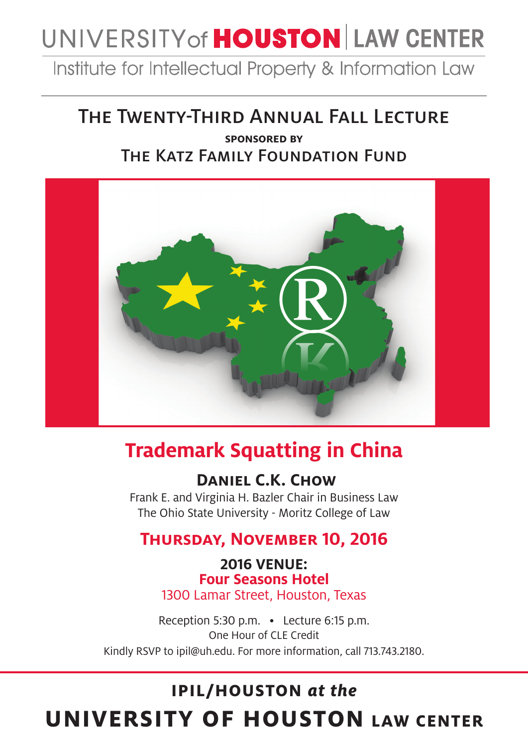# UNIVERSITY of **HOUSTON** LAW CENTER

Institute for Intellectual Property & Information Law

### The Twenty-Third Annual Fall Lecture

### **sponsored by**  The Katz Family Foundation Fund



## **Trademark Squatting in China**

### **Daniel C.K. Chow**

Frank E. and Virginia H. Bazler Chair in Business Law The Ohio State University - Moritz College of Law

### **Thursday, November 10, 2016**

**2016 VENUE: Four Seasons Hotel**  1300 Lamar Street, Houston, Texas

Reception 5:30 p.m. • Lecture 6:15 p.m. One Hour of CLE Credit Kindly RSVP to ipil@uh.edu. For more information, call 713.743.2180.

## **IPIL/HOUSTON** *at the* **UNIVERSITY OF HOUSTON LAW CENTER**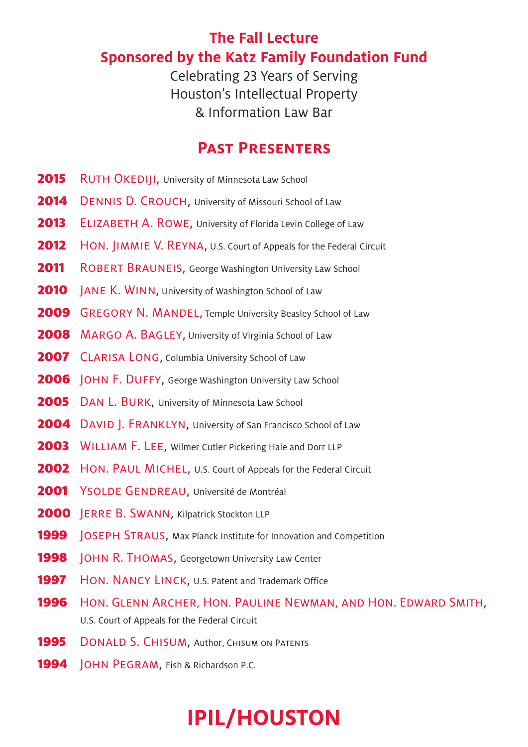### **The Fall Lecture Sponsored by the Katz Family Foundation Fund**

Celebrating 23 Years of Serving Houston's Intellectual Property & Information Law Bar

### **Past Presenters**

- 2015 RUTH OKEDIII, University of Minnesota Law School
- 2014 DENNIS D. CROUCH, University of Missouri School of Law
- 2013 ELIZABETH A. ROWE, University of Florida Levin College of Law
- **2012** HON. JIMMIE V. REYNA, U.S. Court of Appeals for the Federal Circuit
- **2011** ROBERT BRAUNEIS, George Washington University Law School
- **2010** | ANE K. WINN, University of Washington School of Law
- 2009 GREGORY N. MANDEL, Temple University Beasley School of Law
- **2008** MARGO A. BAGLEY, University of Virginia School of Law
- **2007** CLARISA LONG, Columbia University School of Law
- **2006** JOHN F. DUFFY, George Washington University Law School
- 2005 DAN L. BURK, University of Minnesota Law School
- 2004 DAVID | FRANKLYN, University of San Francisco School of Law
- 2003 WILLIAM F. LEE, Wilmer Cutler Pickering Hale and Dorr LLP
- **2002** HON. PAUL MICHEL, U.S. Court of Appeals for the Federal Circuit
- 2001 YSOLDE GENDREAU, Université de Montréal
- 2000 JERRE B. SWANN, Kilpatrick Stockton LLP
- **1999** JOSEPH STRAUS, Max Planck Institute for Innovation and Competition
- **1998 JOHN R. THOMAS, Georgetown University Law Center**
- 1997 HON. NANCY LINCK, U.S. Patent and Trademark Office
- 1996 Hon. GLENN ARCHER, HON. PAULINE NEWMAN, AND HON. EDWARD SMITH, U.S. Court of Appeals for the Federal Circuit
- **1995** DONALD S. CHISUM, Author, CHISUM ON PATENTS
- 1994 **JOHN PEGRAM, Fish & Richardson P.C.**

## **IPIL/HOUSTON**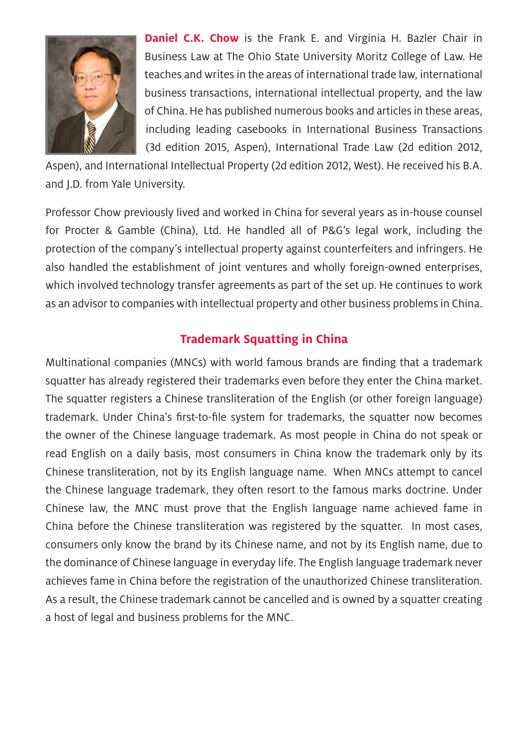

**Daniel C.K. Chow** is the Frank E. and Virginia H. Bazler Chair in Business Law at The Ohio State University Moritz College of Law. He teaches and writes in the areas of international trade law, international business transactions, international intellectual property, and the law of China. He has published numerous books and articles in these areas, including leading casebooks in International Business Transactions (3d edition 2015, Aspen), International Trade Law (2d edition 2012,

Aspen), and International Intellectual Property (2d edition 2012, West). He received his B.A. and J.D. from Yale University.

Professor Chow previously lived and worked in China for several years as in-house counsel for Procter & Gamble (China), Ltd. He handled all of P&G's legal work, including the protection of the company's intellectual property against counterfeiters and infringers. He also handled the establishment of joint ventures and wholly foreign-owned enterprises, which involved technology transfer agreements as part of the set up. He continues to work as an advisor to companies with intellectual property and other business problems in China.

#### **Trademark Squatting in China**

Multinational companies (MNCs) with world famous brands are finding that a trademark squatter has already registered their trademarks even before they enter the China market. The squatter registers a Chinese transliteration of the English (or other foreign language) trademark. Under China's first-to-file system for trademarks, the squatter now becomes the owner of the Chinese language trademark. As most people in China do not speak or read English on a daily basis, most consumers in China know the trademark only by its Chinese transliteration, not by its English language name. When MNCs attempt to cancel the Chinese language trademark, they often resort to the famous marks doctrine. Under Chinese law, the MNC must prove that the English language name achieved fame in China before the Chinese transliteration was registered by the squatter. In most cases, consumers only know the brand by its Chinese name, and not by its English name, due to the dominance of Chinese language in everyday life. The English language trademark never achieves fame in China before the registration of the unauthorized Chinese transliteration. As a result, the Chinese trademark cannot be cancelled and is owned by a squatter creating a host of legal and business problems for the MNC.